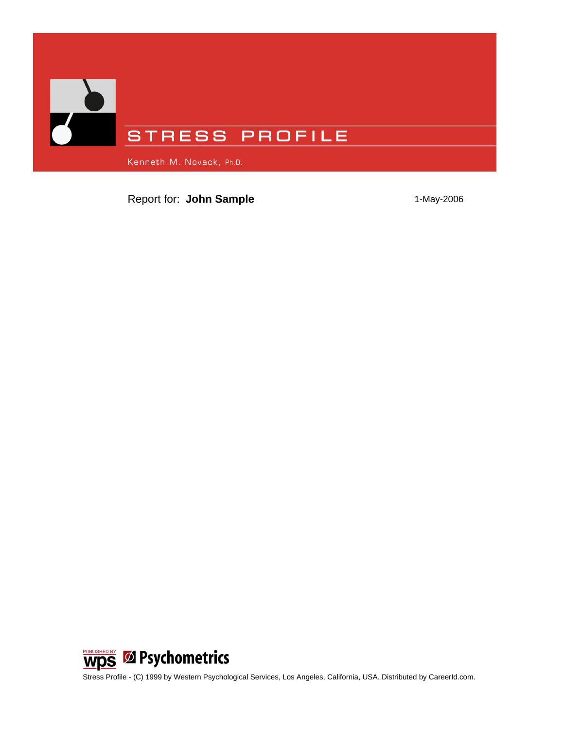

Report for: **John Sample** 1-May-2006



Stress Profile - (C) 1999 by Western Psychological Services, Los Angeles, California, USA. Distributed by CareerId.com.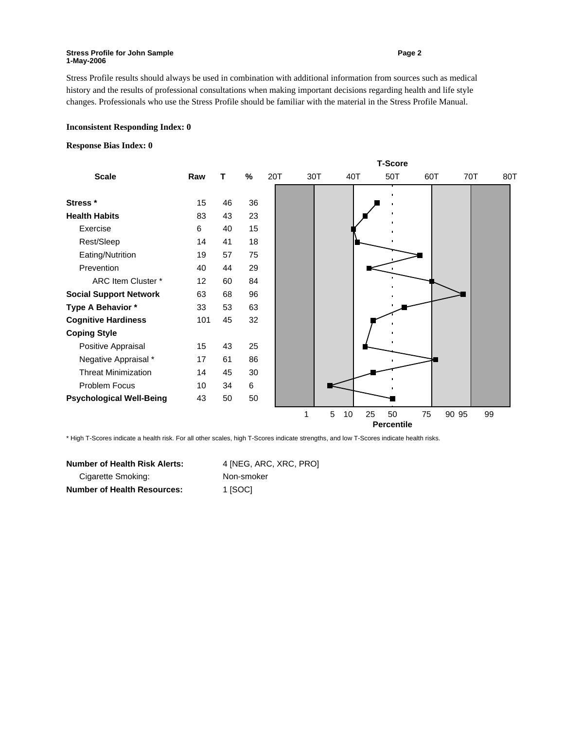#### **Stress Profile for John Sample** <br> **Stress Profile for John Sample 1-May-2006**

Stress Profile results should always be used in combination with additional information from sources such as medical history and the results of professional consultations when making important decisions regarding health and life style changes. Professionals who use the Stress Profile should be familiar with the material in the Stress Profile Manual.

#### **Inconsistent Responding Index: 0**

#### **Response Bias Index: 0**

| <b>Scale</b>                    | <b>T-Score</b> |    |    |     |     |         |                   |     |       |     |  |
|---------------------------------|----------------|----|----|-----|-----|---------|-------------------|-----|-------|-----|--|
|                                 | Raw            | т  | %  | 20T | 30T | 40T     | 50T               | 60T | 70T   | 80T |  |
|                                 |                |    |    |     |     |         |                   |     |       |     |  |
| Stress *                        | 15             | 46 | 36 |     |     |         |                   |     |       |     |  |
| <b>Health Habits</b>            | 83             | 43 | 23 |     |     |         |                   |     |       |     |  |
| Exercise                        | 6              | 40 | 15 |     |     |         |                   |     |       |     |  |
| Rest/Sleep                      | 14             | 41 | 18 |     |     |         |                   |     |       |     |  |
| Eating/Nutrition                | 19             | 57 | 75 |     |     |         |                   |     |       |     |  |
| Prevention                      | 40             | 44 | 29 |     |     |         |                   |     |       |     |  |
| ARC Item Cluster *              | 12             | 60 | 84 |     |     |         |                   |     |       |     |  |
| <b>Social Support Network</b>   | 63             | 68 | 96 |     |     |         |                   |     |       |     |  |
| Type A Behavior *               | 33             | 53 | 63 |     |     |         |                   |     |       |     |  |
| <b>Cognitive Hardiness</b>      | 101            | 45 | 32 |     |     |         |                   |     |       |     |  |
| <b>Coping Style</b>             |                |    |    |     |     |         |                   |     |       |     |  |
| Positive Appraisal              | 15             | 43 | 25 |     |     |         |                   |     |       |     |  |
| Negative Appraisal *            | 17             | 61 | 86 |     |     |         |                   |     |       |     |  |
| <b>Threat Minimization</b>      | 14             | 45 | 30 |     |     |         |                   |     |       |     |  |
| Problem Focus                   | 10             | 34 | 6  |     |     |         |                   |     |       |     |  |
| <b>Psychological Well-Being</b> | 43             | 50 | 50 |     |     |         |                   |     |       |     |  |
|                                 |                |    |    |     | 1   | 5<br>10 | 25<br>50          | 75  | 90 95 | 99  |  |
|                                 |                |    |    |     |     |         | <b>Percentile</b> |     |       |     |  |

\* High T-Scores indicate a health risk. For all other scales, high T-Scores indicate strengths, and low T-Scores indicate health risks.

| <b>Number of Health Risk Alerts:</b> | 4 [NEG, ARC, XRC, PRO] |  |  |  |  |
|--------------------------------------|------------------------|--|--|--|--|
| Cigarette Smoking:                   | Non-smoker             |  |  |  |  |
| <b>Number of Health Resources:</b>   | 1 [SOC]                |  |  |  |  |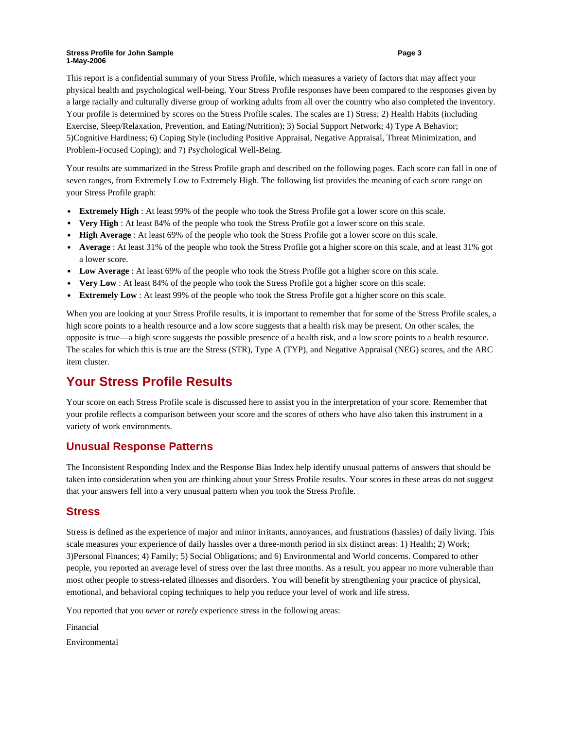#### **Stress Profile for John Sample 2008 30 All 2009 30 All 2009 30 All 2009 30 All 2009 30 All 2009 30 All 2009 30 All 2009 30 All 2009 30 All 2009 30 All 2009 30 All 2009 30 All 2009 30 All 2009 30 All 2009 30 All 2009 30 Al 1-May-2006**

This report is a confidential summary of your Stress Profile, which measures a variety of factors that may affect your physical health and psychological well-being. Your Stress Profile responses have been compared to the responses given by a large racially and culturally diverse group of working adults from all over the country who also completed the inventory. Your profile is determined by scores on the Stress Profile scales. The scales are 1) Stress; 2) Health Habits (including Exercise, Sleep/Relaxation, Prevention, and Eating/Nutrition); 3) Social Support Network; 4) Type A Behavior; 5)Cognitive Hardiness; 6) Coping Style (including Positive Appraisal, Negative Appraisal, Threat Minimization, and Problem-Focused Coping); and 7) Psychological Well-Being.

Your results are summarized in the Stress Profile graph and described on the following pages. Each score can fall in one of seven ranges, from Extremely Low to Extremely High. The following list provides the meaning of each score range on your Stress Profile graph:

- **Extremely High** : At least 99% of the people who took the Stress Profile got a lower score on this scale.
- **Very High** : At least 84% of the people who took the Stress Profile got a lower score on this scale.
- **High Average**: At least 69% of the people who took the Stress Profile got a lower score on this scale.
- **Average** : At least 31% of the people who took the Stress Profile got a higher score on this scale, and at least 31% got a lower score.
- Low Average : At least 69% of the people who took the Stress Profile got a higher score on this scale.
- **Very Low** : At least 84% of the people who took the Stress Profile got a higher score on this scale.
- **Extremely Low** : At least 99% of the people who took the Stress Profile got a higher score on this scale.

When you are looking at your Stress Profile results, it is important to remember that for some of the Stress Profile scales, a high score points to a health resource and a low score suggests that a health risk may be present. On other scales, the opposite is true—a high score suggests the possible presence of a health risk, and a low score points to a health resource. The scales for which this is true are the Stress (STR), Type A (TYP), and Negative Appraisal (NEG) scores, and the ARC item cluster.

## **Your Stress Profile Results**

Your score on each Stress Profile scale is discussed here to assist you in the interpretation of your score. Remember that your profile reflects a comparison between your score and the scores of others who have also taken this instrument in a variety of work environments.

### **Unusual Response Patterns**

The Inconsistent Responding Index and the Response Bias Index help identify unusual patterns of answers that should be taken into consideration when you are thinking about your Stress Profile results. Your scores in these areas do not suggest that your answers fell into a very unusual pattern when you took the Stress Profile.

### **Stress**

Stress is defined as the experience of major and minor irritants, annoyances, and frustrations (hassles) of daily living. This scale measures your experience of daily hassles over a three-month period in six distinct areas: 1) Health; 2) Work; 3)Personal Finances; 4) Family; 5) Social Obligations; and 6) Environmental and World concerns. Compared to other people, you reported an average level of stress over the last three months. As a result, you appear no more vulnerable than most other people to stress-related illnesses and disorders. You will benefit by strengthening your practice of physical, emotional, and behavioral coping techniques to help you reduce your level of work and life stress.

You reported that you *never* or *rarely* experience stress in the following areas:

Financial Environmental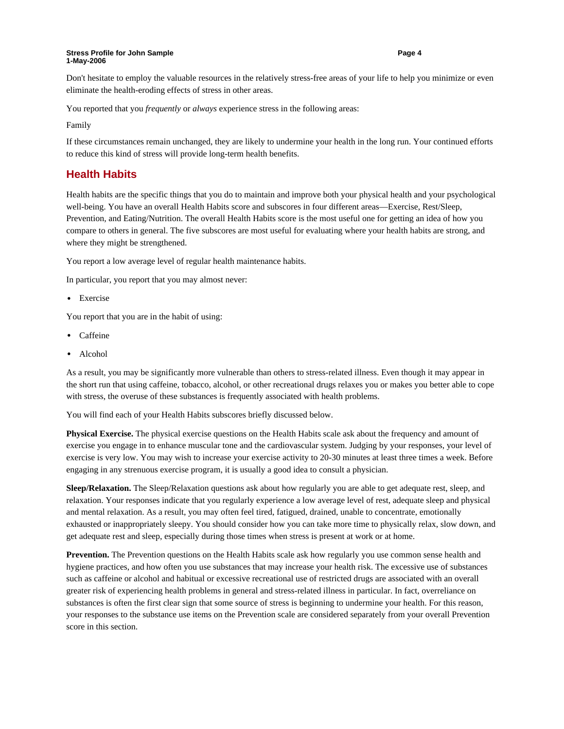#### **Stress Profile for John Sample Community Community Community Community Page 4 1-May-2006**

Don't hesitate to employ the valuable resources in the relatively stress-free areas of your life to help you minimize or even eliminate the health-eroding effects of stress in other areas.

You reported that you *frequently* or *always* experience stress in the following areas:

Family

If these circumstances remain unchanged, they are likely to undermine your health in the long run. Your continued efforts to reduce this kind of stress will provide long-term health benefits.

### **Health Habits**

Health habits are the specific things that you do to maintain and improve both your physical health and your psychological well-being. You have an overall Health Habits score and subscores in four different areas—Exercise, Rest/Sleep, Prevention, and Eating/Nutrition. The overall Health Habits score is the most useful one for getting an idea of how you compare to others in general. The five subscores are most useful for evaluating where your health habits are strong, and where they might be strengthened.

You report a low average level of regular health maintenance habits.

In particular, you report that you may almost never:

• Exercise

You report that you are in the habit of using:

- Caffeine
- Alcohol

As a result, you may be significantly more vulnerable than others to stress-related illness. Even though it may appear in the short run that using caffeine, tobacco, alcohol, or other recreational drugs relaxes you or makes you better able to cope with stress, the overuse of these substances is frequently associated with health problems.

You will find each of your Health Habits subscores briefly discussed below.

**Physical Exercise.** The physical exercise questions on the Health Habits scale ask about the frequency and amount of exercise you engage in to enhance muscular tone and the cardiovascular system. Judging by your responses, your level of exercise is very low. You may wish to increase your exercise activity to 20-30 minutes at least three times a week. Before engaging in any strenuous exercise program, it is usually a good idea to consult a physician.

**Sleep/Relaxation.** The Sleep/Relaxation questions ask about how regularly you are able to get adequate rest, sleep, and relaxation. Your responses indicate that you regularly experience a low average level of rest, adequate sleep and physical and mental relaxation. As a result, you may often feel tired, fatigued, drained, unable to concentrate, emotionally exhausted or inappropriately sleepy. You should consider how you can take more time to physically relax, slow down, and get adequate rest and sleep, especially during those times when stress is present at work or at home.

**Prevention.** The Prevention questions on the Health Habits scale ask how regularly you use common sense health and hygiene practices, and how often you use substances that may increase your health risk. The excessive use of substances such as caffeine or alcohol and habitual or excessive recreational use of restricted drugs are associated with an overall greater risk of experiencing health problems in general and stress-related illness in particular. In fact, overreliance on substances is often the first clear sign that some source of stress is beginning to undermine your health. For this reason, your responses to the substance use items on the Prevention scale are considered separately from your overall Prevention score in this section.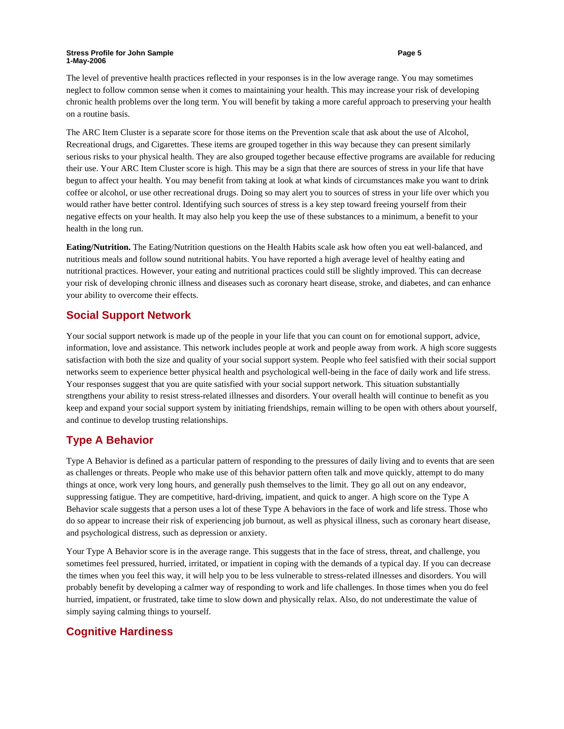#### **Stress Profile for John Sample Community Community Community Community Community Community Community Community Community Page 5 1-May-2006**

The level of preventive health practices reflected in your responses is in the low average range. You may sometimes neglect to follow common sense when it comes to maintaining your health. This may increase your risk of developing chronic health problems over the long term. You will benefit by taking a more careful approach to preserving your health on a routine basis.

The ARC Item Cluster is a separate score for those items on the Prevention scale that ask about the use of Alcohol, Recreational drugs, and Cigarettes. These items are grouped together in this way because they can present similarly serious risks to your physical health. They are also grouped together because effective programs are available for reducing their use. Your ARC Item Cluster score is high. This may be a sign that there are sources of stress in your life that have begun to affect your health. You may benefit from taking at look at what kinds of circumstances make you want to drink coffee or alcohol, or use other recreational drugs. Doing so may alert you to sources of stress in your life over which you would rather have better control. Identifying such sources of stress is a key step toward freeing yourself from their negative effects on your health. It may also help you keep the use of these substances to a minimum, a benefit to your health in the long run.

**Eating/Nutrition.** The Eating/Nutrition questions on the Health Habits scale ask how often you eat well-balanced, and nutritious meals and follow sound nutritional habits. You have reported a high average level of healthy eating and nutritional practices. However, your eating and nutritional practices could still be slightly improved. This can decrease your risk of developing chronic illness and diseases such as coronary heart disease, stroke, and diabetes, and can enhance your ability to overcome their effects.

### **Social Support Network**

Your social support network is made up of the people in your life that you can count on for emotional support, advice, information, love and assistance. This network includes people at work and people away from work. A high score suggests satisfaction with both the size and quality of your social support system. People who feel satisfied with their social support networks seem to experience better physical health and psychological well-being in the face of daily work and life stress. Your responses suggest that you are quite satisfied with your social support network. This situation substantially strengthens your ability to resist stress-related illnesses and disorders. Your overall health will continue to benefit as you keep and expand your social support system by initiating friendships, remain willing to be open with others about yourself, and continue to develop trusting relationships.

## **Type A Behavior**

Type A Behavior is defined as a particular pattern of responding to the pressures of daily living and to events that are seen as challenges or threats. People who make use of this behavior pattern often talk and move quickly, attempt to do many things at once, work very long hours, and generally push themselves to the limit. They go all out on any endeavor, suppressing fatigue. They are competitive, hard-driving, impatient, and quick to anger. A high score on the Type A Behavior scale suggests that a person uses a lot of these Type A behaviors in the face of work and life stress. Those who do so appear to increase their risk of experiencing job burnout, as well as physical illness, such as coronary heart disease, and psychological distress, such as depression or anxiety.

Your Type A Behavior score is in the average range. This suggests that in the face of stress, threat, and challenge, you sometimes feel pressured, hurried, irritated, or impatient in coping with the demands of a typical day. If you can decrease the times when you feel this way, it will help you to be less vulnerable to stress-related illnesses and disorders. You will probably benefit by developing a calmer way of responding to work and life challenges. In those times when you do feel hurried, impatient, or frustrated, take time to slow down and physically relax. Also, do not underestimate the value of simply saying calming things to yourself.

## **Cognitive Hardiness**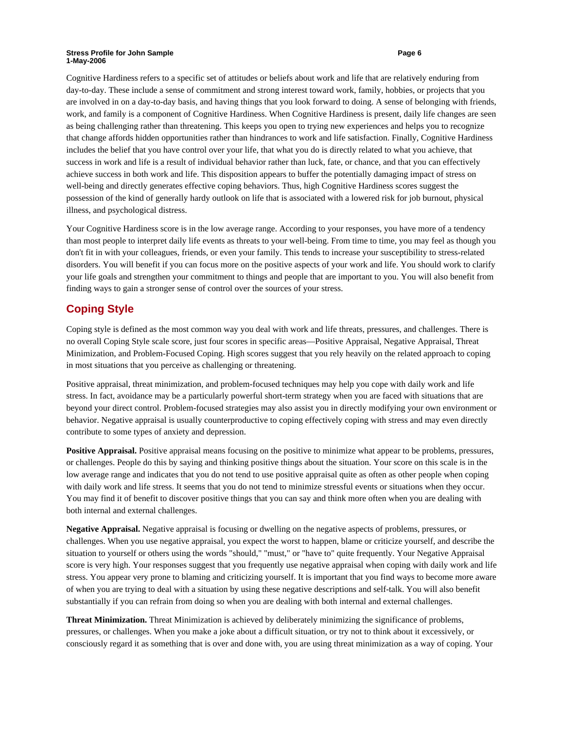#### **Stress Profile for John Sample Community Community Community Community Community Community Community Community Community Community Community Community Community Community Community Community Community Community Community 1-May-2006**

Cognitive Hardiness refers to a specific set of attitudes or beliefs about work and life that are relatively enduring from day-to-day. These include a sense of commitment and strong interest toward work, family, hobbies, or projects that you are involved in on a day-to-day basis, and having things that you look forward to doing. A sense of belonging with friends, work, and family is a component of Cognitive Hardiness. When Cognitive Hardiness is present, daily life changes are seen as being challenging rather than threatening. This keeps you open to trying new experiences and helps you to recognize that change affords hidden opportunities rather than hindrances to work and life satisfaction. Finally, Cognitive Hardiness includes the belief that you have control over your life, that what you do is directly related to what you achieve, that success in work and life is a result of individual behavior rather than luck, fate, or chance, and that you can effectively achieve success in both work and life. This disposition appears to buffer the potentially damaging impact of stress on well-being and directly generates effective coping behaviors. Thus, high Cognitive Hardiness scores suggest the possession of the kind of generally hardy outlook on life that is associated with a lowered risk for job burnout, physical illness, and psychological distress.

Your Cognitive Hardiness score is in the low average range. According to your responses, you have more of a tendency than most people to interpret daily life events as threats to your well-being. From time to time, you may feel as though you don't fit in with your colleagues, friends, or even your family. This tends to increase your susceptibility to stress-related disorders. You will benefit if you can focus more on the positive aspects of your work and life. You should work to clarify your life goals and strengthen your commitment to things and people that are important to you. You will also benefit from finding ways to gain a stronger sense of control over the sources of your stress.

## **Coping Style**

Coping style is defined as the most common way you deal with work and life threats, pressures, and challenges. There is no overall Coping Style scale score, just four scores in specific areas—Positive Appraisal, Negative Appraisal, Threat Minimization, and Problem-Focused Coping. High scores suggest that you rely heavily on the related approach to coping in most situations that you perceive as challenging or threatening.

Positive appraisal, threat minimization, and problem-focused techniques may help you cope with daily work and life stress. In fact, avoidance may be a particularly powerful short-term strategy when you are faced with situations that are beyond your direct control. Problem-focused strategies may also assist you in directly modifying your own environment or behavior. Negative appraisal is usually counterproductive to coping effectively coping with stress and may even directly contribute to some types of anxiety and depression.

**Positive Appraisal.** Positive appraisal means focusing on the positive to minimize what appear to be problems, pressures, or challenges. People do this by saying and thinking positive things about the situation. Your score on this scale is in the low average range and indicates that you do not tend to use positive appraisal quite as often as other people when coping with daily work and life stress. It seems that you do not tend to minimize stressful events or situations when they occur. You may find it of benefit to discover positive things that you can say and think more often when you are dealing with both internal and external challenges.

**Negative Appraisal.** Negative appraisal is focusing or dwelling on the negative aspects of problems, pressures, or challenges. When you use negative appraisal, you expect the worst to happen, blame or criticize yourself, and describe the situation to yourself or others using the words "should," "must," or "have to" quite frequently. Your Negative Appraisal score is very high. Your responses suggest that you frequently use negative appraisal when coping with daily work and life stress. You appear very prone to blaming and criticizing yourself. It is important that you find ways to become more aware of when you are trying to deal with a situation by using these negative descriptions and self-talk. You will also benefit substantially if you can refrain from doing so when you are dealing with both internal and external challenges.

**Threat Minimization.** Threat Minimization is achieved by deliberately minimizing the significance of problems, pressures, or challenges. When you make a joke about a difficult situation, or try not to think about it excessively, or consciously regard it as something that is over and done with, you are using threat minimization as a way of coping. Your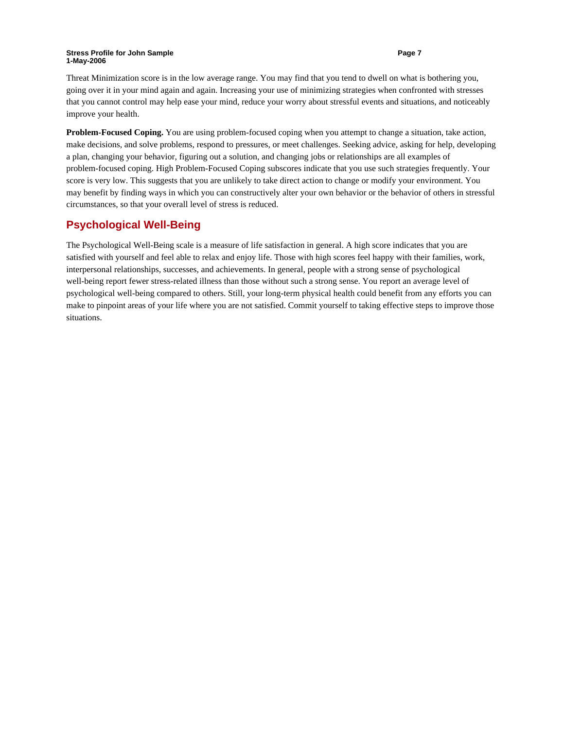#### **Stress Profile for John Sample Page 7 Page 7 1-May-2006**

Threat Minimization score is in the low average range. You may find that you tend to dwell on what is bothering you, going over it in your mind again and again. Increasing your use of minimizing strategies when confronted with stresses that you cannot control may help ease your mind, reduce your worry about stressful events and situations, and noticeably improve your health.

**Problem-Focused Coping.** You are using problem-focused coping when you attempt to change a situation, take action, make decisions, and solve problems, respond to pressures, or meet challenges. Seeking advice, asking for help, developing a plan, changing your behavior, figuring out a solution, and changing jobs or relationships are all examples of problem-focused coping. High Problem-Focused Coping subscores indicate that you use such strategies frequently. Your score is very low. This suggests that you are unlikely to take direct action to change or modify your environment. You may benefit by finding ways in which you can constructively alter your own behavior or the behavior of others in stressful circumstances, so that your overall level of stress is reduced.

### **Psychological Well-Being**

The Psychological Well-Being scale is a measure of life satisfaction in general. A high score indicates that you are satisfied with yourself and feel able to relax and enjoy life. Those with high scores feel happy with their families, work, interpersonal relationships, successes, and achievements. In general, people with a strong sense of psychological well-being report fewer stress-related illness than those without such a strong sense. You report an average level of psychological well-being compared to others. Still, your long-term physical health could benefit from any efforts you can make to pinpoint areas of your life where you are not satisfied. Commit yourself to taking effective steps to improve those situations.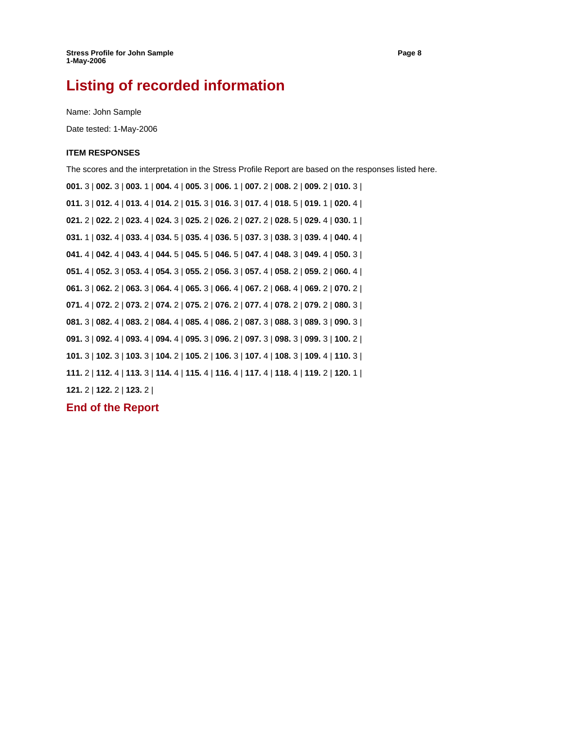# **Listing of recorded information**

Name: John Sample

Date tested: 1-May-2006

### **ITEM RESPONSES**

The scores and the interpretation in the Stress Profile Report are based on the responses listed here.

**001.** 3 | **002.** 3 | **003.** 1 | **004.** 4 | **005.** 3 | **006.** 1 | **007.** 2 | **008.** 2 | **009.** 2 | **010.** 3 | **011.** 3 | **012.** 4 | **013.** 4 | **014.** 2 | **015.** 3 | **016.** 3 | **017.** 4 | **018.** 5 | **019.** 1 | **020.** 4 | **021.** 2 | **022.** 2 | **023.** 4 | **024.** 3 | **025.** 2 | **026.** 2 | **027.** 2 | **028.** 5 | **029.** 4 | **030.** 1 | **031.** 1 | **032.** 4 | **033.** 4 | **034.** 5 | **035.** 4 | **036.** 5 | **037.** 3 | **038.** 3 | **039.** 4 | **040.** 4 | **041.** 4 | **042.** 4 | **043.** 4 | **044.** 5 | **045.** 5 | **046.** 5 | **047.** 4 | **048.** 3 | **049.** 4 | **050.** 3 | **051.** 4 | **052.** 3 | **053.** 4 | **054.** 3 | **055.** 2 | **056.** 3 | **057.** 4 | **058.** 2 | **059.** 2 | **060.** 4 | **061.** 3 | **062.** 2 | **063.** 3 | **064.** 4 | **065.** 3 | **066.** 4 | **067.** 2 | **068.** 4 | **069.** 2 | **070.** 2 | **071.** 4 | **072.** 2 | **073.** 2 | **074.** 2 | **075.** 2 | **076.** 2 | **077.** 4 | **078.** 2 | **079.** 2 | **080.** 3 | **081.** 3 | **082.** 4 | **083.** 2 | **084.** 4 | **085.** 4 | **086.** 2 | **087.** 3 | **088.** 3 | **089.** 3 | **090.** 3 | **091.** 3 | **092.** 4 | **093.** 4 | **094.** 4 | **095.** 3 | **096.** 2 | **097.** 3 | **098.** 3 | **099.** 3 | **100.** 2 | **101.** 3 | **102.** 3 | **103.** 3 | **104.** 2 | **105.** 2 | **106.** 3 | **107.** 4 | **108.** 3 | **109.** 4 | **110.** 3 | **111.** 2 | **112.** 4 | **113.** 3 | **114.** 4 | **115.** 4 | **116.** 4 | **117.** 4 | **118.** 4 | **119.** 2 | **120.** 1 | **121.** 2 | **122.** 2 | **123.** 2 |

### **End of the Report**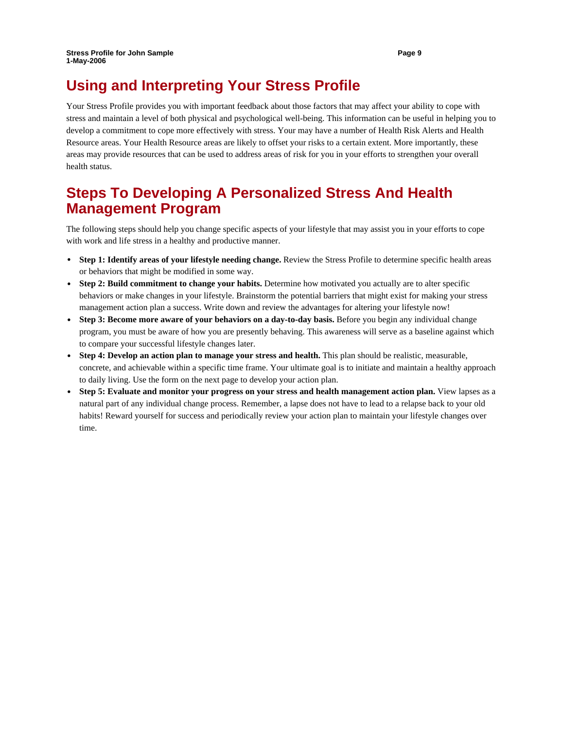# **Using and Interpreting Your Stress Profile**

Your Stress Profile provides you with important feedback about those factors that may affect your ability to cope with stress and maintain a level of both physical and psychological well-being. This information can be useful in helping you to develop a commitment to cope more effectively with stress. Your may have a number of Health Risk Alerts and Health Resource areas. Your Health Resource areas are likely to offset your risks to a certain extent. More importantly, these areas may provide resources that can be used to address areas of risk for you in your efforts to strengthen your overall health status.

# **Steps To Developing A Personalized Stress And Health Management Program**

The following steps should help you change specific aspects of your lifestyle that may assist you in your efforts to cope with work and life stress in a healthy and productive manner.

- **Step 1: Identify areas of your lifestyle needing change.** Review the Stress Profile to determine specific health areas or behaviors that might be modified in some way.
- **Step 2: Build commitment to change your habits.** Determine how motivated you actually are to alter specific behaviors or make changes in your lifestyle. Brainstorm the potential barriers that might exist for making your stress management action plan a success. Write down and review the advantages for altering your lifestyle now!
- **Step 3: Become more aware of your behaviors on a day-to-day basis.** Before you begin any individual change program, you must be aware of how you are presently behaving. This awareness will serve as a baseline against which to compare your successful lifestyle changes later.
- **Step 4: Develop an action plan to manage your stress and health.** This plan should be realistic, measurable, concrete, and achievable within a specific time frame. Your ultimate goal is to initiate and maintain a healthy approach to daily living. Use the form on the next page to develop your action plan.
- **Step 5: Evaluate and monitor your progress on your stress and health management action plan.** View lapses as a natural part of any individual change process. Remember, a lapse does not have to lead to a relapse back to your old habits! Reward yourself for success and periodically review your action plan to maintain your lifestyle changes over time.